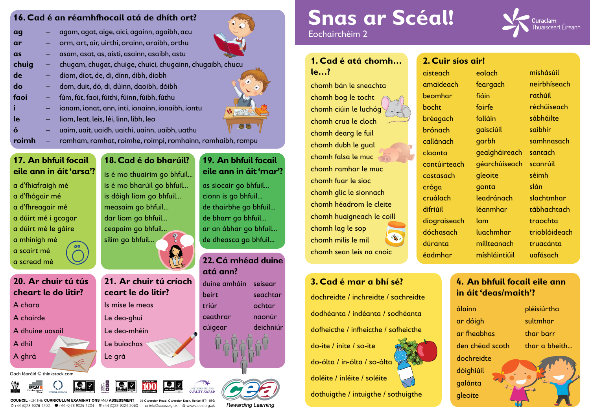| h     | eolach        | míshásúil     |
|-------|---------------|---------------|
| :ach  | feargach      | neirbhíseach  |
| ar    | fiáin         | rathúil       |
|       | foirfe        | réchúiseach   |
| ch    | folláin       | sábháilte     |
| h     | gaisciúil     | saibhir       |
| ch    | garbh         | samhnasach    |
|       | gealgháireach | santach       |
| teach | géarchúiseach | scanrúil      |
| ıch   | gleoite       | séimh         |
|       | gonta         | slán          |
| ۱h    | leadránach    | slachtmhar    |
|       | léanmhar      | tábhachtach   |
| seach | lom           | traochta      |
| ach   | luachmhar     | trioblóideach |
| J     | millteanach   | truacánta     |
| ar    | míshláintiúil | uafásach      |

### **4. An bhfuil focail eile ann in áit 'deas/maith'?**

álainn ar dóigh ar fheabhas den chéad scoth dochreidte dóighiúil galánta gleoite

pléisiúrtha sultmhar thar barr thar a bheith...



### **3. Cad é mar a bhí sé?**

dochreidte / inchreidte / sochreidte dodhéanta / indéanta / sodhéanta dofheicthe / infheicthe / sofheicthe

do-ite / inite / so-ite

do-ólta / in-ólta / so-ólta

doléite / inléite / soléite

dothuigthe / intuigthe / sothuigthe

**COUNCIL** FOR THE CURRICULUM EXAMINATIONS AND ASSESSMENT 29 Clarendon Road, Clarendon Dock, Belfast BT1 3BG © +44 (0)28 9026 1200 <del>· ■</del> +44 (0)28 9026 1234 · ■ +44 (0)28 9024 2063 · a info@ccea.org.uk · ● www.ccea.org.uk

**Rewarding Learning** 

**atá ann?**

## **22. Cá mhéad duine**  duine amháin seisear



| r síos air! |  |  |  |
|-------------|--|--|--|

beirt triúr ceathrar

# seachtar

cúigear deichniúr

ochtar naonúr

### Gach léaráid © thinkstock.com







# **Snas ar Scéal!** Eochairchéim 2

### **16. Cad é an réamhfhocail atá de dhíth ort?**

| ag    | agam, agat, aige, aici, againn, agaibh, acu               |
|-------|-----------------------------------------------------------|
| ar    | orm, ort, air, uirthi, orainn, oraibh, orthu              |
| as    | asam, asat, as, aisti, asainn, asaibh, astu               |
| chuig | chugam, chugat, chuige, chuici, chugainn, chugaibh, chucu |
| de    | díom, díot, de, di, dínn, díbh, díobh                     |
| do    | dom, duit, dó, di, dúinn, daoibh, dóibh                   |
| faoi  | fúm, fút, faoi, fúithi, fúinn, fúibh, fúthu               |
|       | ionam, ionat, ann, inti, ionainn, ionaibh, iontu          |
| le    | liom, leat, leis, léi, linn, libh, leo                    |
| ó     | uaim, uait, uaidh, uaithi, uainn, uaibh, uathu            |
| roin  | romham, romhat, roimhe, roimpi, romhainn, romhaibh, rompu |

### **1. Cad é atá chomh… le…?**

chomh bán le sneachta chomh bog le tocht chomh ciúin le luchóg chomh crua le cloch chomh dearg le fuil chomh dubh le gual chomh falsa le muc chomh ramhar le muc chomh fuar le sioc chomh glic le sionnach chomh héadrom le cleite chomh huaigneach le coill chomh lag le sop chomh milis le mil chomh sean leis na cnoic

**2. Cui** aisteach amaide beomh bocht bréaga brónach callána claonta contúir costasc cróga cruálac difriúil díograi dóchas dúranta éadmha

### **17. An bhfuil focail eile ann in áit 'arsa'?**

a d'fhiafraigh mé a d'fhógair mé a d'fhreagair mé a dúirt mé i gcogar a dúirt mé le gáire a mhínigh mé a scairt mé a scread mé

Is mise le meas

Le dea-ghuí

Le dea-mhéin

Le buíochas







Le grá

**21. Ar chuir tú críoch** 

**ceart le do litir?**

- A chara
- A chairde
- A dhuine uasail
- A dhil
- A ghrá

### **20. Ar chuir tú tús cheart le do litir?**

**19. An bhfuil focail** 

**eile ann in áit 'mar'?**

as siocair go bhfuil...

cionn is go bhfuil...

de thairbhe go bhfuil...

de bharr go bhfuil...

ar an ábhar go bhfuil...

de dheasca go bhfuil...

**18. Cad é do bharúil?**

is é mo thuairim go bhfuil...

is é mo bharúil go bhfuil...

is dóigh liom go bhfuil...

measaim go bhfuil...

dar liom go bhfuil...

ceapaim go bhfuil...

sílim go bhfuil...